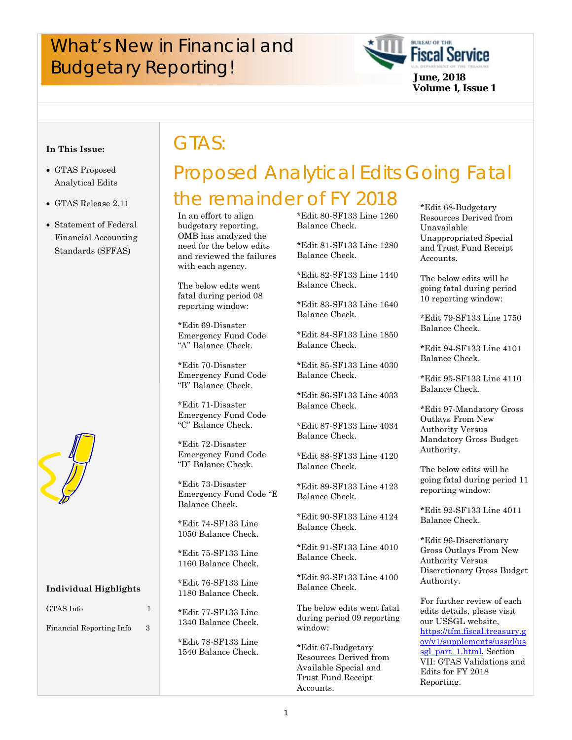# What's New in Financial and **Fiscal Service**<br>Budgetary Reporting!<br>*Budgetary Reporting!*

GTAS:



#### **In This Issue:**

- GTAS Proposed Analytical Edits
- GTAS Release 2.11
- Statement of Federal Financial Accounting Standards (SFFAS)



#### **Individual Highlights**

### GTAS Info 1

Financial Reporting Info 3

# Proposed Analytical Edits Going Fatal the remainder of FY 2018 \*Edit 68-Budgetary

In an effort to align budgetary reporting, OMB has analyzed the need for the below edits and reviewed the failures with each agency.

The below edits went fatal during period 08 reporting window:

\*Edit 69-Disaster Emergency Fund Code "A" Balance Check.

\*Edit 70-Disaster Emergency Fund Code "B" Balance Check.

\*Edit 71-Disaster Emergency Fund Code "C" Balance Check.

\*Edit 72-Disaster Emergency Fund Code "D" Balance Check.

\*Edit 73-Disaster Emergency Fund Code "E Balance Check.

\*Edit 74-SF133 Line 1050 Balance Check.

\*Edit 75-SF133 Line 1160 Balance Check.

\*Edit 76-SF133 Line 1180 Balance Check.

\*Edit 77-SF133 Line 1340 Balance Check.

\*Edit 78-SF133 Line 1540 Balance Check. \*Edit 80-SF133 Line 1260 Balance Check.

\*Edit 81-SF133 Line 1280 Balance Check.

\*Edit 82-SF133 Line 1440 Balance Check.

\*Edit 83-SF133 Line 1640 Balance Check.

\*Edit 84-SF133 Line 1850 Balance Check.

\*Edit 85-SF133 Line 4030 Balance Check.

\*Edit 86-SF133 Line 4033 Balance Check.

\*Edit 87-SF133 Line 4034 Balance Check.

\*Edit 88-SF133 Line 4120 Balance Check.

\*Edit 89-SF133 Line 4123 Balance Check.

\*Edit 90-SF133 Line 4124 Balance Check.

\*Edit 91-SF133 Line 4010 Balance Check.

\*Edit 93-SF133 Line 4100 Balance Check.

The below edits went fatal during period 09 reporting window:

\*Edit 67-Budgetary Resources Derived from Available Special and Trust Fund Receipt Accounts.

Resources Derived from Unavailable Unappropriated Special and Trust Fund Receipt Accounts.

The below edits will be going fatal during period 10 reporting window:

\*Edit 79-SF133 Line 1750 Balance Check.

\*Edit 94-SF133 Line 4101 Balance Check.

\*Edit 95-SF133 Line 4110 Balance Check.

\*Edit 97-Mandatory Gross Outlays From New Authority Versus Mandatory Gross Budget Authority.

The below edits will be going fatal during period 11 reporting window:

\*Edit 92-SF133 Line 4011 Balance Check.

\*Edit 96-Discretionary Gross Outlays From New Authority Versus Discretionary Gross Budget Authority.

For further review of each edits details, please visit our USSGL website, [https://tfm.fiscal.treasury.g](https://tfm.fiscal.treasury.gov/v1/supplements/ussgl/ussgl_part_1.html) ov/v1/supplements/ussgl/us sgl\_part\_1.html, Section VII: GTAS Validations and Edits for FY 2018 Reporting.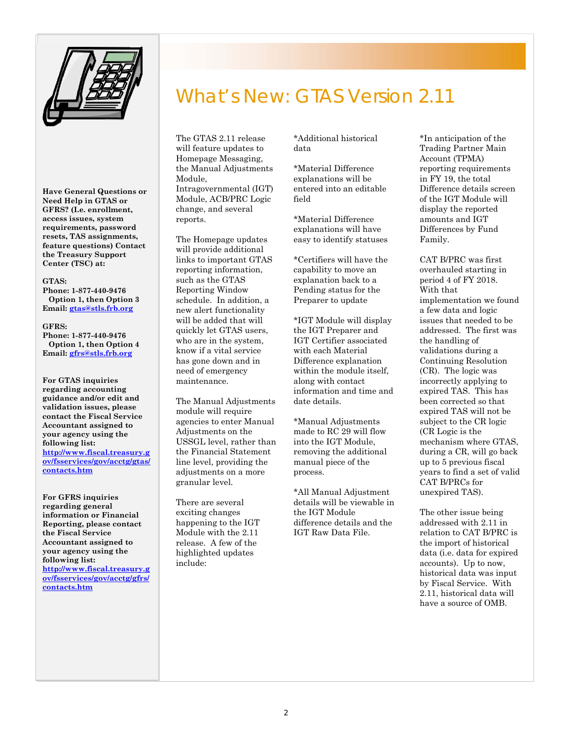

**Have General Questions or Need Help in GTAS or GFRS? (I.e. enrollment, access issues, system requirements, password resets, TAS assignments, feature questions) Contact the Treasury Support Center (TSC) at:** 

#### **GTAS:**

**Phone: 1-877-440-9476 Option 1, then Option 3 Email: gtas@stls.frb.org**

#### **GFRS:**

**Phone: 1-877-440-9476 Option 1, then Option 4 Email: gfrs@stls.frb.org**

**For GTAS inquiries regarding accounting guidance and/or edit and validation issues, please contact the Fiscal Service Accountant assigned to your agency using the following list: http://www.fiscal.treasury.g [ov/fsservices/gov/acctg/gtas/](http://www.fiscal.treasury.gov/fsservices/gov/acctg/gtas/contacts.htm) contacts.htm**

**For GFRS inquiries regarding general information or Financial Reporting, please contact the Fiscal Service Accountant assigned to your agency using the following list: [http://www.fiscal.treasury.g](http://www.fiscal.treasury.gov/fsservices/gov/acctg/gfrs/contacts.htm) ov/fsservices/gov/acctg/gfrs/ contacts.htm**

## What's New: GTAS Version 2.11

The GTAS 2.11 release will feature updates to Homepage Messaging, the Manual Adjustments Module, Intragovernmental (IGT) Module, ACB/PRC Logic change, and several reports.

The Homepage updates will provide additional links to important GTAS reporting information, such as the GTAS Reporting Window schedule. In addition, a new alert functionality will be added that will quickly let GTAS users, who are in the system, know if a vital service has gone down and in need of emergency maintenance.

The Manual Adjustments module will require agencies to enter Manual Adjustments on the USSGL level, rather than the Financial Statement line level, providing the adjustments on a more granular level.

There are several exciting changes happening to the IGT Module with the 2.11 release. A few of the highlighted updates include:

\*Additional historical data

\*Material Difference explanations will be entered into an editable field

\*Material Difference explanations will have easy to identify statuses

\*Certifiers will have the capability to move an explanation back to a Pending status for the Preparer to update

\*IGT Module will display the IGT Preparer and IGT Certifier associated with each Material Difference explanation within the module itself, along with contact information and time and date details.

\*Manual Adjustments made to RC 29 will flow into the IGT Module, removing the additional manual piece of the process.

\*All Manual Adjustment details will be viewable in the IGT Module difference details and the IGT Raw Data File.

\*In anticipation of the Trading Partner Main Account (TPMA) reporting requirements in FY 19, the total Difference details screen of the IGT Module will display the reported amounts and IGT Differences by Fund Family.

CAT B/PRC was first overhauled starting in period 4 of FY 2018. With that implementation we found a few data and logic issues that needed to be addressed. The first was the handling of validations during a Continuing Resolution (CR). The logic was incorrectly applying to expired TAS. This has been corrected so that expired TAS will not be subject to the CR logic (CR Logic is the mechanism where GTAS, during a CR, will go back up to 5 previous fiscal years to find a set of valid CAT B/PRCs for unexpired TAS).

The other issue being addressed with 2.11 in relation to CAT B/PRC is the import of historical data (i.e. data for expired accounts). Up to now, historical data was input by Fiscal Service. With 2.11, historical data will have a source of OMB.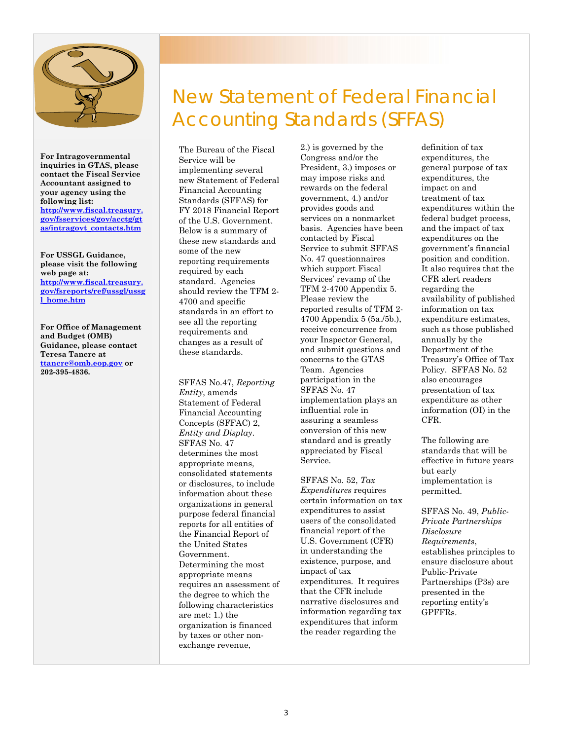

**For Intragovernmental inquiries in GTAS, please contact the Fiscal Service Accountant assigned to your agency using the following list: [http://www.fiscal.treasury.](http://www.fiscal.treasury.gov/fsservices/gov/acctg/gtas/intragovt_contacts.htm) gov/fsservices/gov/acctg/gt as/intragovt\_contacts.htm**

**For USSGL Guidance, please visit the following web page at: http://www.fiscal.treasury. [gov/fsreports/ref/ussgl/ussg](http://www.fiscal.treasury.gov/fsreports/ref/ussgl/ussgl_home.htm) l\_home.htm**

**For Office of Management and Budget (OMB) Guidance, please contact Teresa Tancre at ttancre@omb.eop.gov or 202-395-4836.**

# New Statement of Federal Financial Accounting Standards (SFFAS)

The Bureau of the Fiscal Service will be implementing several new Statement of Federal Financial Accounting Standards (SFFAS) for FY 2018 Financial Report of the U.S. Government. Below is a summary of these new standards and some of the new reporting requirements required by each standard. Agencies should review the TFM 2- 4700 and specific standards in an effort to see all the reporting requirements and changes as a result of these standards.

 SFFAS No.47, *Reporting*   purpose federal financial *Entity*, amends Statement of Federal Financial Accounting Concepts (SFFAC) 2, *Entity and Display*. SFFAS No. 47 determines the most appropriate means, consolidated statements or disclosures, to include information about these organizations in general reports for all entities of the Financial Report of the United States Government. Determining the most appropriate means requires an assessment of the degree to which the following characteristics are met: 1.) the organization is financed by taxes or other nonexchange revenue,

2.) is governed by the Congress and/or the President, 3.) imposes or may impose risks and rewards on the federal government, 4.) and/or provides goods and services on a nonmarket basis. Agencies have been contacted by Fiscal Service to submit SFFAS No. 47 questionnaires which support Fiscal Services' revamp of the TFM 2-4700 Appendix 5. Please review the reported results of TFM 2- 4700 Appendix 5 (5a./5b.), receive concurrence from your Inspector General, and submit questions and concerns to the GTAS Team. Agencies participation in the SFFAS No. 47 implementation plays an influential role in assuring a seamless conversion of this new standard and is greatly appreciated by Fiscal Service.

SFFAS No. 52, *Tax Expenditures* requires certain information on tax expenditures to assist users of the consolidated financial report of the U.S. Government (CFR) in understanding the existence, purpose, and impact of tax expenditures. It requires that the CFR include narrative disclosures and information regarding tax expenditures that inform the reader regarding the

definition of tax expenditures, the general purpose of tax expenditures, the impact on and treatment of tax expenditures within the federal budget process, and the impact of tax expenditures on the government's financial position and condition. It also requires that the CFR alert readers regarding the availability of published information on tax expenditure estimates, such as those published annually by the Department of the Treasury's Office of Tax Policy. SFFAS No. 52 also encourages presentation of tax expenditure as other information (OI) in the CFR.

The following are standards that will be effective in future years but early implementation is permitted.

SFFAS No. 49, *Public-Private Partnerships Disclosure Requirements*, establishes principles to ensure disclosure about Public-Private Partnerships (P3s) are presented in the reporting entity's GPFFRs.